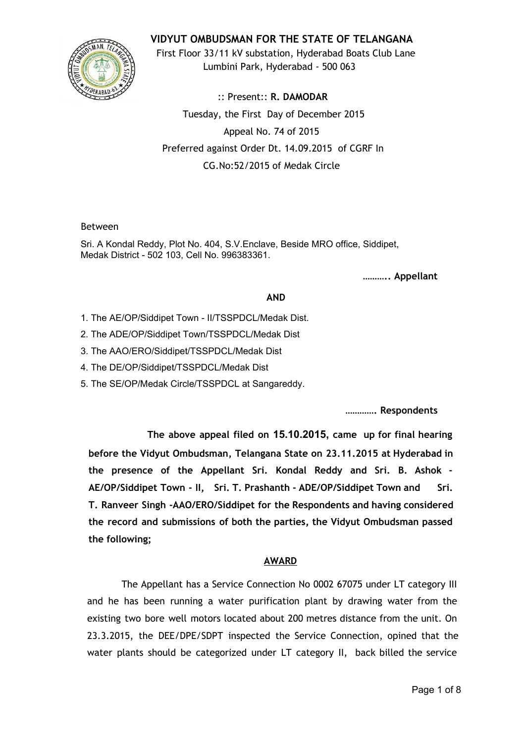

**VIDYUT OMBUDSMAN FOR THE STATE OF TELANGANA**

First Floor 33/11 kV substation, Hyderabad Boats Club Lane Lumbini Park, Hyderabad - 500 063

:: Present:: **R. DAMODAR** Tuesday, the First Day of December 2015 Appeal No. 74 of 2015 Preferred against Order Dt. 14.09.2015 of CGRF In CG.No:52/2015 of Medak Circle

#### Between

Sri. A Kondal Reddy, Plot No. 404, S.V.Enclave, Beside MRO office, Siddipet, Medak District - 502 103, Cell No. 996383361.

**……….. Appellant**

# **AND**

- 1. The AE/OP/Siddipet Town II/TSSPDCL/Medak Dist.
- 2. The ADE/OP/Siddipet Town/TSSPDCL/Medak Dist
- 3. The AAO/ERO/Siddipet/TSSPDCL/Medak Dist
- 4. The DE/OP/Siddipet/TSSPDCL/Medak Dist
- 5. The SE/OP/Medak Circle/TSSPDCL at Sangareddy.

**…………. Respondents**

**The above appeal filed on 15.10.2015, came up for final hearing before the Vidyut Ombudsman, Telangana State on 23.11.2015 at Hyderabad in the presence of the Appellant Sri. Kondal Reddy and Sri. B. Ashok - AE/OP/Siddipet Town - II, Sri. T. Prashanth - ADE/OP/Siddipet Town and Sri. T. Ranveer Singh -AAO/ERO/Siddipet for the Respondents and having considered the record and submissions of both the parties, the Vidyut Ombudsman passed the following;**

# **AWARD**

The Appellant has a Service Connection No 0002 67075 under LT category III and he has been running a water purification plant by drawing water from the existing two bore well motors located about 200 metres distance from the unit. On 23.3.2015, the DEE/DPE/SDPT inspected the Service Connection, opined that the water plants should be categorized under LT category II, back billed the service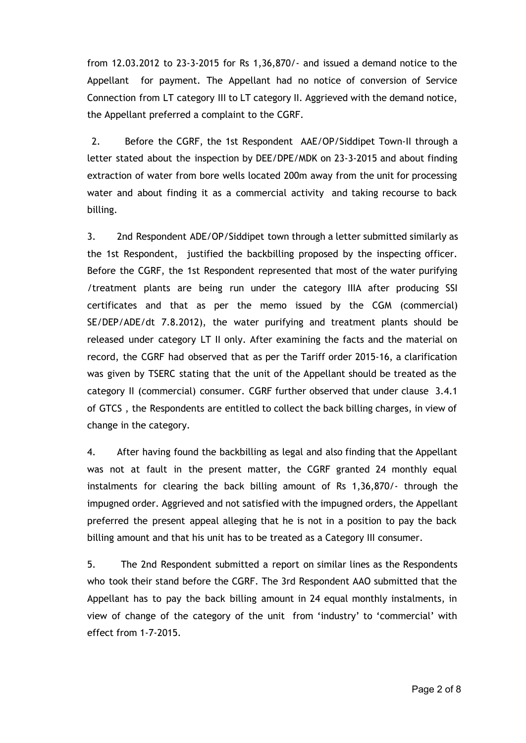from 12.03.2012 to 23-3-2015 for Rs 1,36,870/- and issued a demand notice to the Appellant for payment. The Appellant had no notice of conversion of Service Connection from LT category III to LT category II. Aggrieved with the demand notice, the Appellant preferred a complaint to the CGRF.

2. Before the CGRF, the 1st Respondent AAE/OP/Siddipet Town-II through a letter stated about the inspection by DEE/DPE/MDK on 23-3-2015 and about finding extraction of water from bore wells located 200m away from the unit for processing water and about finding it as a commercial activity and taking recourse to back billing.

3. 2nd Respondent ADE/OP/Siddipet town through a letter submitted similarly as the 1st Respondent, justified the backbilling proposed by the inspecting officer. Before the CGRF, the 1st Respondent represented that most of the water purifying /treatment plants are being run under the category IIIA after producing SSI certificates and that as per the memo issued by the CGM (commercial) SE/DEP/ADE/dt 7.8.2012), the water purifying and treatment plants should be released under category LT II only. After examining the facts and the material on record, the CGRF had observed that as per the Tariff order 2015-16, a clarification was given by TSERC stating that the unit of the Appellant should be treated as the category II (commercial) consumer. CGRF further observed that under clause 3.4.1 of GTCS , the Respondents are entitled to collect the back billing charges, in view of change in the category.

4. After having found the backbilling as legal and also finding that the Appellant was not at fault in the present matter, the CGRF granted 24 monthly equal instalments for clearing the back billing amount of Rs 1,36,870/- through the impugned order. Aggrieved and not satisfied with the impugned orders, the Appellant preferred the present appeal alleging that he is not in a position to pay the back billing amount and that his unit has to be treated as a Category III consumer.

5. The 2nd Respondent submitted a report on similar lines as the Respondents who took their stand before the CGRF. The 3rd Respondent AAO submitted that the Appellant has to pay the back billing amount in 24 equal monthly instalments, in view of change of the category of the unit from 'industry' to 'commercial' with effect from 1-7-2015.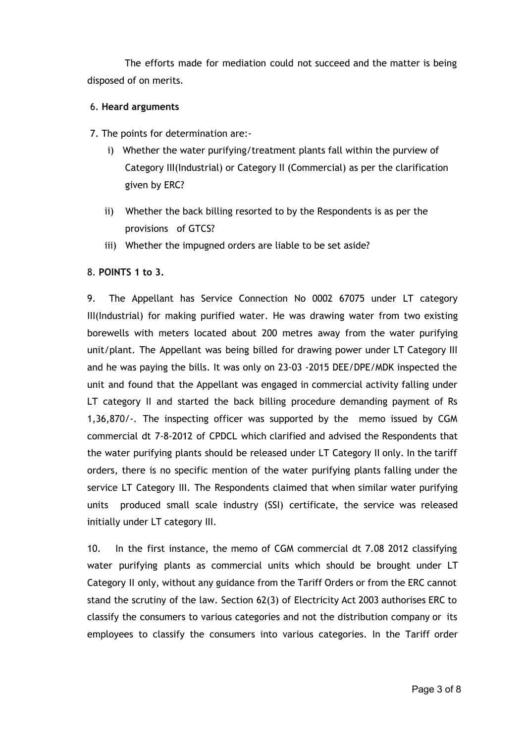The efforts made for mediation could not succeed and the matter is being disposed of on merits.

### 6. **Heard arguments**

- 7. The points for determination are:
	- i) Whether the water purifying/treatment plants fall within the purview of Category III(Industrial) or Category II (Commercial) as per the clarification given by ERC?
	- ii) Whether the back billing resorted to by the Respondents is as per the provisions of GTCS?
	- iii) Whether the impugned orders are liable to be set aside?

# 8. **POINTS 1 to 3.**

9. The Appellant has Service Connection No 0002 67075 under LT category III(Industrial) for making purified water. He was drawing water from two existing borewells with meters located about 200 metres away from the water purifying unit/plant. The Appellant was being billed for drawing power under LT Category III and he was paying the bills. It was only on 23-03 -2015 DEE/DPE/MDK inspected the unit and found that the Appellant was engaged in commercial activity falling under LT category II and started the back billing procedure demanding payment of Rs 1,36,870/-. The inspecting officer was supported by the memo issued by CGM commercial dt 7-8-2012 of CPDCL which clarified and advised the Respondents that the water purifying plants should be released under LT Category II only. In the tariff orders, there is no specific mention of the water purifying plants falling under the service LT Category III. The Respondents claimed that when similar water purifying units produced small scale industry (SSI) certificate, the service was released initially under LT category III.

10. In the first instance, the memo of CGM commercial dt 7.08 2012 classifying water purifying plants as commercial units which should be brought under LT Category II only, without any guidance from the Tariff Orders or from the ERC cannot stand the scrutiny of the law. Section 62(3) of Electricity Act 2003 authorises ERC to classify the consumers to various categories and not the distribution company or its employees to classify the consumers into various categories. In the Tariff order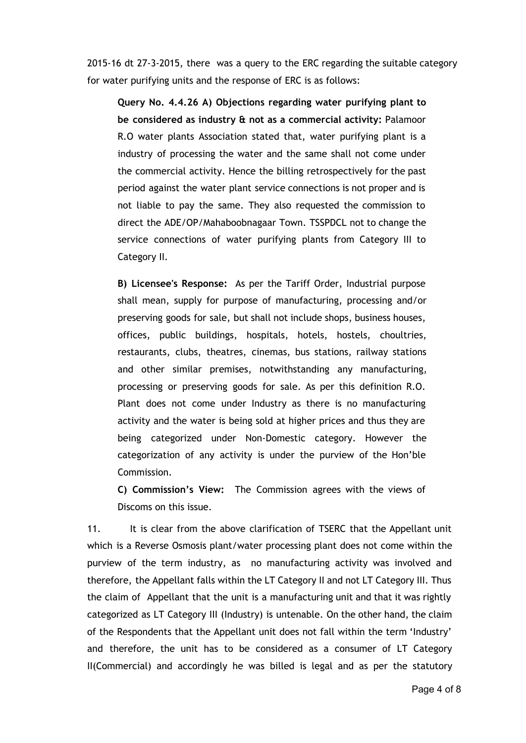2015-16 dt 27-3-2015, there was a query to the ERC regarding the suitable category for water purifying units and the response of ERC is as follows:

**Query No. 4.4.26 A) Objections regarding water purifying plant to be considered as industry & not as a commercial activity:** Palamoor R.O water plants Association stated that, water purifying plant is a industry of processing the water and the same shall not come under the commercial activity. Hence the billing retrospectively for the past period against the water plant service connections is not proper and is not liable to pay the same. They also requested the commission to direct the ADE/OP/Mahaboobnagaar Town. TSSPDCL not to change the service connections of water purifying plants from Category III to Category II.

**B) Licensee's Response:** As per the Tariff Order, Industrial purpose shall mean, supply for purpose of manufacturing, processing and/or preserving goods for sale, but shall not include shops, business houses, offices, public buildings, hospitals, hotels, hostels, choultries, restaurants, clubs, theatres, cinemas, bus stations, railway stations and other similar premises, notwithstanding any manufacturing, processing or preserving goods for sale. As per this definition R.O. Plant does not come under Industry as there is no manufacturing activity and the water is being sold at higher prices and thus they are being categorized under Non-Domestic category. However the categorization of any activity is under the purview of the Hon'ble Commission.

**C) Commission's View:** The Commission agrees with the views of Discoms on this issue.

11. It is clear from the above clarification of TSERC that the Appellant unit which is a Reverse Osmosis plant/water processing plant does not come within the purview of the term industry, as no manufacturing activity was involved and therefore, the Appellant falls within the LT Category II and not LT Category III. Thus the claim of Appellant that the unit is a manufacturing unit and that it was rightly categorized as LT Category III (Industry) is untenable. On the other hand, the claim of the Respondents that the Appellant unit does not fall within the term 'Industry' and therefore, the unit has to be considered as a consumer of LT Category II(Commercial) and accordingly he was billed is legal and as per the statutory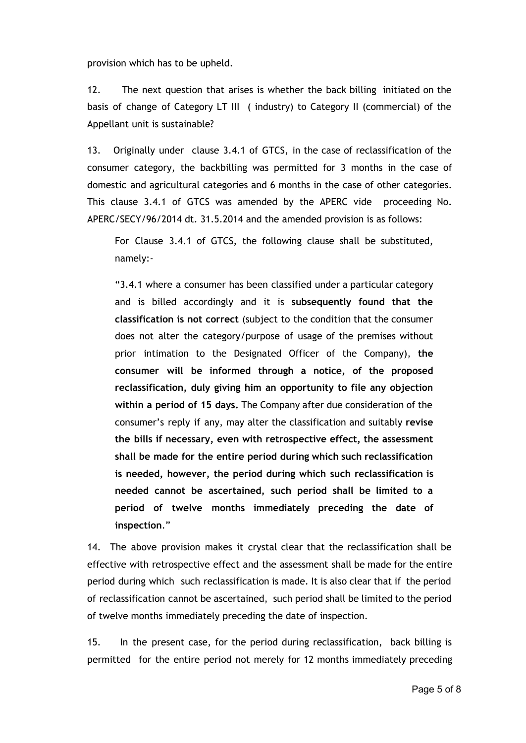provision which has to be upheld.

12. The next question that arises is whether the back billing initiated on the basis of change of Category LT III ( industry) to Category II (commercial) of the Appellant unit is sustainable?

13. Originally under clause 3.4.1 of GTCS, in the case of reclassification of the consumer category, the backbilling was permitted for 3 months in the case of domestic and agricultural categories and 6 months in the case of other categories. This clause 3.4.1 of GTCS was amended by the APERC vide proceeding No. APERC/SECY/96/2014 dt. 31.5.2014 and the amended provision is as follows:

For Clause 3.4.1 of GTCS, the following clause shall be substituted, namely:-

"3.4.1 where a consumer has been classified under a particular category and is billed accordingly and it is **subsequently found that the classification is not correct** (subject to the condition that the consumer does not alter the category/purpose of usage of the premises without prior intimation to the Designated Officer of the Company), **the consumer will be informed through a notice, of the proposed reclassification, duly giving him an opportunity to file any objection within a period of 15 days.** The Company after due consideration of the consumer's reply if any, may alter the classification and suitably **revise the bills if necessary, even with retrospective effect, the assessment shall be made for the entire period during which such reclassification is needed, however, the period during which such reclassification is needed cannot be ascertained, such period shall be limited to a period of twelve months immediately preceding the date of inspection**."

14. The above provision makes it crystal clear that the reclassification shall be effective with retrospective effect and the assessment shall be made for the entire period during which such reclassification is made. It is also clear that if the period of reclassification cannot be ascertained, such period shall be limited to the period of twelve months immediately preceding the date of inspection.

15. In the present case, for the period during reclassification, back billing is permitted for the entire period not merely for 12 months immediately preceding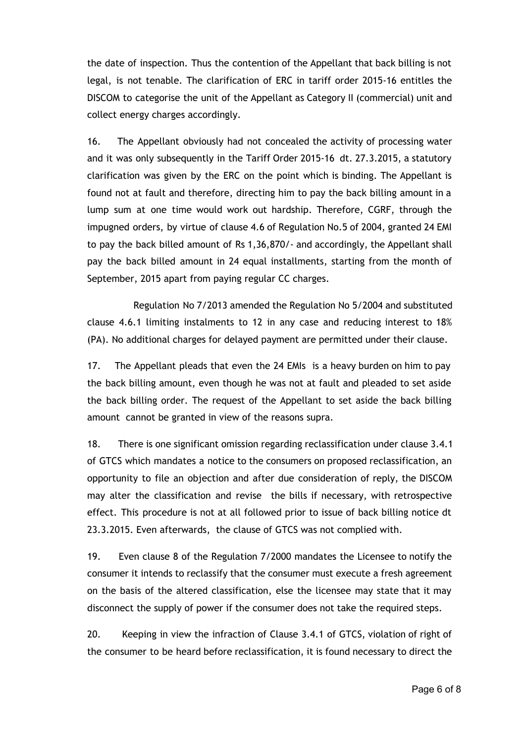the date of inspection. Thus the contention of the Appellant that back billing is not legal, is not tenable. The clarification of ERC in tariff order 2015-16 entitles the DISCOM to categorise the unit of the Appellant as Category II (commercial) unit and collect energy charges accordingly.

16. The Appellant obviously had not concealed the activity of processing water and it was only subsequently in the Tariff Order 2015-16 dt. 27.3.2015, a statutory clarification was given by the ERC on the point which is binding. The Appellant is found not at fault and therefore, directing him to pay the back billing amount in a lump sum at one time would work out hardship. Therefore, CGRF, through the impugned orders, by virtue of clause 4.6 of Regulation No.5 of 2004, granted 24 EMI to pay the back billed amount of Rs 1,36,870/- and accordingly, the Appellant shall pay the back billed amount in 24 equal installments, starting from the month of September, 2015 apart from paying regular CC charges.

Regulation No 7/2013 amended the Regulation No 5/2004 and substituted clause 4.6.1 limiting instalments to 12 in any case and reducing interest to 18% (PA). No additional charges for delayed payment are permitted under their clause.

17. The Appellant pleads that even the 24 EMIs is a heavy burden on him to pay the back billing amount, even though he was not at fault and pleaded to set aside the back billing order. The request of the Appellant to set aside the back billing amount cannot be granted in view of the reasons supra.

18. There is one significant omission regarding reclassification under clause 3.4.1 of GTCS which mandates a notice to the consumers on proposed reclassification, an opportunity to file an objection and after due consideration of reply, the DISCOM may alter the classification and revise the bills if necessary, with retrospective effect. This procedure is not at all followed prior to issue of back billing notice dt 23.3.2015. Even afterwards, the clause of GTCS was not complied with.

19. Even clause 8 of the Regulation 7/2000 mandates the Licensee to notify the consumer it intends to reclassify that the consumer must execute a fresh agreement on the basis of the altered classification, else the licensee may state that it may disconnect the supply of power if the consumer does not take the required steps.

20. Keeping in view the infraction of Clause 3.4.1 of GTCS, violation of right of the consumer to be heard before reclassification, it is found necessary to direct the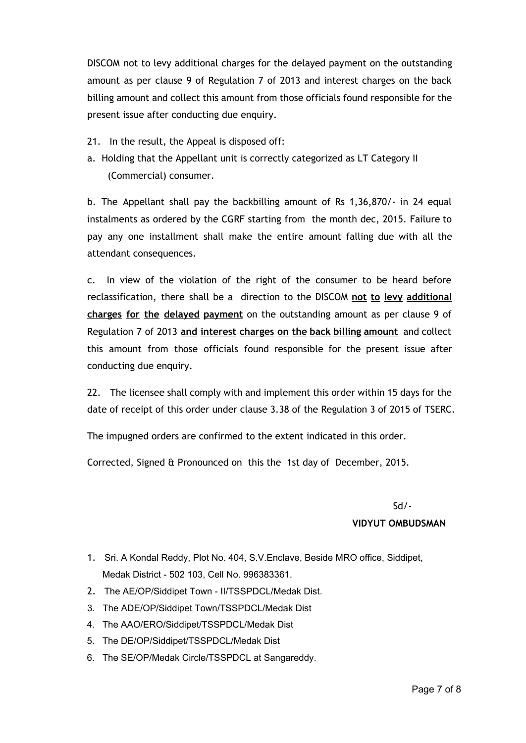DISCOM not to levy additional charges for the delayed payment on the outstanding amount as per clause 9 of Regulation 7 of 2013 and interest charges on the back billing amount and collect this amount from those officials found responsible for the present issue after conducting due enquiry.

- 21. In the result, the Appeal is disposed off:
- a. Holding that the Appellant unit is correctly categorized as LT Category II (Commercial) consumer.

b. The Appellant shall pay the backbilling amount of Rs 1,36,870/- in 24 equal instalments as ordered by the CGRF starting from the month dec, 2015. Failure to pay any one installment shall make the entire amount falling due with all the attendant consequences.

c. In view of the violation of the right of the consumer to be heard before reclassification, there shall be a direction to the DISCOM **not to levy additional charges for the delayed payment** on the outstanding amount as per clause 9 of Regulation 7 of 2013 **and interest charges on the back billing amount** and collect this amount from those officials found responsible for the present issue after conducting due enquiry.

22. The licensee shall comply with and implement this order within 15 days for the date of receipt of this order under clause 3.38 of the Regulation 3 of 2015 of TSERC.

The impugned orders are confirmed to the extent indicated in this order.

Corrected, Signed & Pronounced on this the 1st day of December, 2015.

#### Sd/-

#### **VIDYUT OMBUDSMAN**

- 1. Sri. A Kondal Reddy, Plot No. 404, S.V.Enclave, Beside MRO office, Siddipet, Medak District - 502 103, Cell No. 996383361.
- 2. The AE/OP/Siddipet Town II/TSSPDCL/Medak Dist.
- 3. The ADE/OP/Siddipet Town/TSSPDCL/Medak Dist
- 4. The AAO/ERO/Siddipet/TSSPDCL/Medak Dist
- 5. The DE/OP/Siddipet/TSSPDCL/Medak Dist
- 6. The SE/OP/Medak Circle/TSSPDCL at Sangareddy.